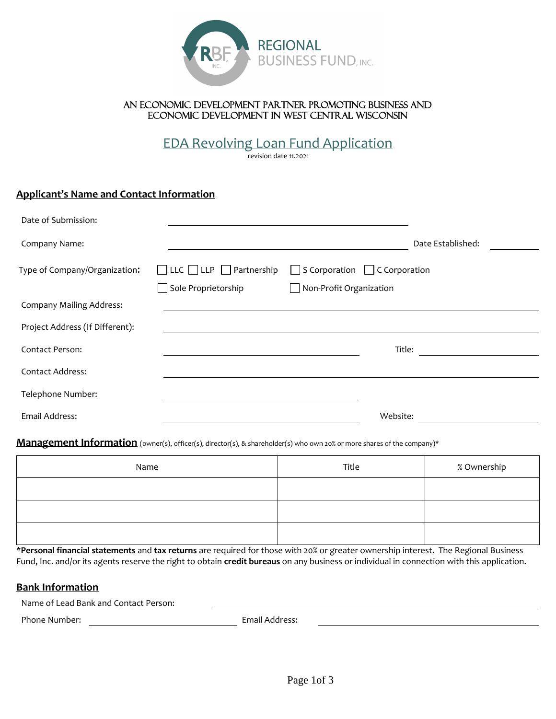

### An economic development partner promoting business and economic development in west central Wisconsin

EDA Revolving Loan Fund Application

revision date 11.2021

# **Applicant's Name and Contact Information**

| Date of Submission:             |                                          |                                           |                   |
|---------------------------------|------------------------------------------|-------------------------------------------|-------------------|
| Company Name:                   |                                          |                                           | Date Established: |
| Type of Company/Organization:   | $\Box$ LLC $\Box$ LLP $\Box$ Partnership | $\Box$ S Corporation $\Box$ C Corporation |                   |
|                                 | Sole Proprietorship                      | $\Box$ Non-Profit Organization            |                   |
| <b>Company Mailing Address:</b> |                                          |                                           |                   |
| Project Address (If Different): |                                          |                                           |                   |
| Contact Person:                 |                                          |                                           | Title:            |
| <b>Contact Address:</b>         |                                          |                                           |                   |
| Telephone Number:               |                                          |                                           |                   |
| Email Address:                  |                                          |                                           | Website:          |

#### **Management Information** (owner(s), officer(s), director(s), & shareholder(s) who own 20% or more shares of the company)\*

| Name | Title | % Ownership |
|------|-------|-------------|
|      |       |             |
|      |       |             |
|      |       |             |

\***Personal financial statements** and **tax returns** are required for those with 20% or greater ownership interest. The Regional Business Fund, Inc. and/or its agents reserve the right to obtain **credit bureaus** on any business or individual in connection with this application.

# **Bank Information**

Name of Lead Bank and Contact Person:

Phone Number: The Contract of the Email Address: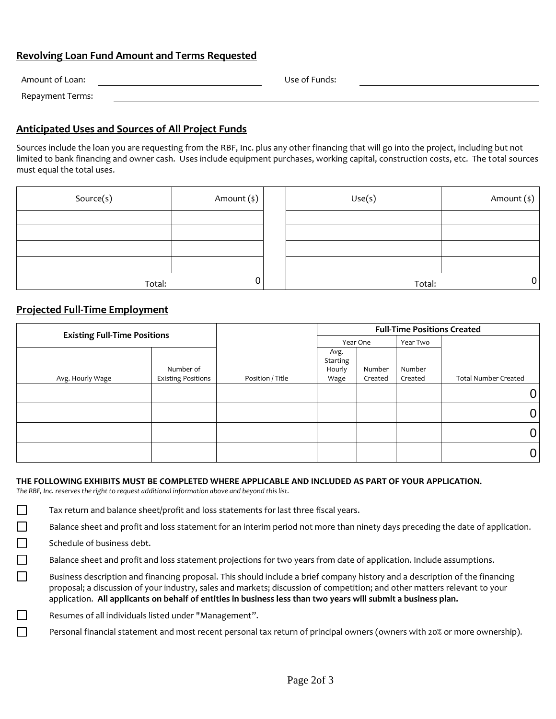# **Revolving Loan Fund Amount and Terms Requested**

| Amount of Loan:  | Use of Funds: |
|------------------|---------------|
| Repayment Terms: |               |

# **Anticipated Uses and Sources of All Project Funds**

Sources include the loan you are requesting from the RBF, Inc. plus any other financing that will go into the project, including but not limited to bank financing and owner cash. Uses include equipment purchases, working capital, construction costs, etc. The total sources must equal the total uses.

| Source(s) | Amount (\$) | Use(s) | Amount (\$)    |
|-----------|-------------|--------|----------------|
|           |             |        |                |
|           |             |        |                |
|           |             |        |                |
|           |             |        |                |
| Total:    | 0           | Total: | $\overline{0}$ |

### **Projected Full-Time Employment**

| <b>Existing Full-Time Positions</b> |                                        |                  | <b>Full-Time Positions Created</b> |                   |                   |                             |
|-------------------------------------|----------------------------------------|------------------|------------------------------------|-------------------|-------------------|-----------------------------|
|                                     |                                        |                  |                                    | Year One          | Year Two          |                             |
| Avg. Hourly Wage                    | Number of<br><b>Existing Positions</b> | Position / Title | Avg.<br>Starting<br>Hourly<br>Wage | Number<br>Created | Number<br>Created | <b>Total Number Created</b> |
|                                     |                                        |                  |                                    |                   |                   |                             |
|                                     |                                        |                  |                                    |                   |                   | 0                           |
|                                     |                                        |                  |                                    |                   |                   |                             |
|                                     |                                        |                  |                                    |                   |                   |                             |

#### **THE FOLLOWING EXHIBITS MUST BE COMPLETED WHERE APPLICABLE AND INCLUDED AS PART OF YOUR APPLICATION.**

*The RBF, Inc. reserves the right to request additional information above and beyond this list.* 

Tax return and balance sheet/profit and loss statements for last three fiscal years.

Balance sheet and profit and loss statement for an interim period not more than ninety days preceding the date of application.

Schedule of business debt.

 $\Box$  $\Box$  $\Box$ 

 $\Box$ 

Balance sheet and profit and loss statement projections for two years from date of application. Include assumptions.

 $\Box$ Business description and financing proposal. This should include a brief company history and a description of the financing proposal; a discussion of your industry, sales and markets; discussion of competition; and other matters relevant to your application. **All applicants on behalf of entities in business less than two years will submit a business plan.**

Resumes of all individuals listed under "Management".

Personal financial statement and most recent personal tax return of principal owners (owners with 20% or more ownership).